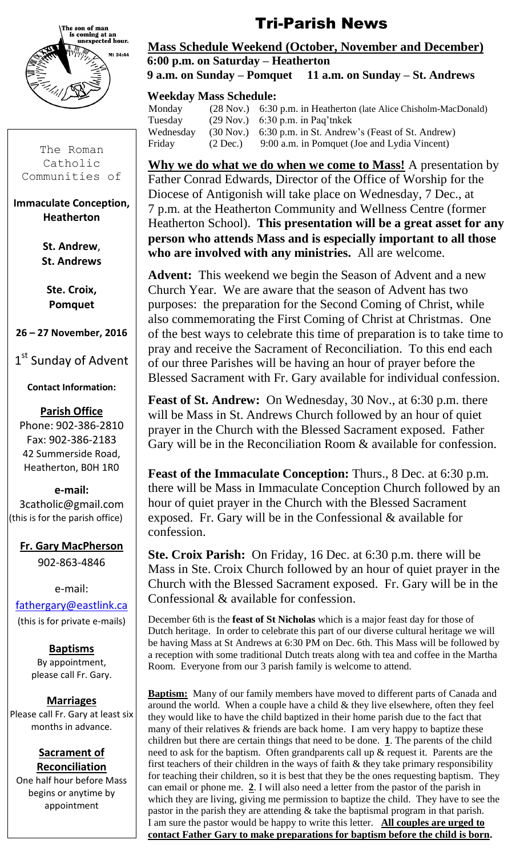

The Roman Catholic Communities of

#### **Immaculate Conception, Heatherton**

**St. Andrew**, **St. Andrews**

**Ste. Croix, Pomquet**

**26 – 27 November, 2016**

1st Sunday of Advent

# **Contact Information:**

#### **Parish Office**

Phone: 902-386-2810 Fax: 902-386-2183 42 Summerside Road, Heatherton, B0H 1R0

#### **e-mail:**

3catholic@gmail.com (this is for the parish office)

**Fr. Gary MacPherson** 902-863-4846

e-mail: [fathergary@eastlink.ca](mailto:fathergary@eastlink.ca) (this is for private e-mails)

> **Baptisms** By appointment, please call Fr. Gary.

# **Marriages**

Please call Fr. Gary at least six months in advance.

#### **Sacrament of Reconciliation**

One half hour before Mass begins or anytime by appointment

# Tri-Parish News

#### **Mass Schedule Weekend (October, November and December) 6:00 p.m. on Saturday – Heatherton 9 a.m. on Sunday – Pomquet 11 a.m. on Sunday – St. Andrews**

# **Weekday Mass Schedule:**

| Monday    |            | (28 Nov.) 6:30 p.m. in Heatherton (late Alice Chisholm-MacDonald)   |
|-----------|------------|---------------------------------------------------------------------|
| Tuesday   |            | $(29 \text{ Nov.})$ 6:30 p.m. in Pag'tnkek                          |
| Wednesday |            | $(30 \text{ Nov.})$ 6:30 p.m. in St. Andrew's (Feast of St. Andrew) |
| Friday    | $(2$ Dec.) | 9:00 a.m. in Pomquet (Joe and Lydia Vincent)                        |
|           |            |                                                                     |

**Why we do what we do when we come to Mass!** A presentation by Father Conrad Edwards, Director of the Office of Worship for the Diocese of Antigonish will take place on Wednesday, 7 Dec., at 7 p.m. at the Heatherton Community and Wellness Centre (former Heatherton School). **This presentation will be a great asset for any person who attends Mass and is especially important to all those who are involved with any ministries.** All are welcome.

**Advent:** This weekend we begin the Season of Advent and a new Church Year. We are aware that the season of Advent has two purposes: the preparation for the Second Coming of Christ, while also commemorating the First Coming of Christ at Christmas. One of the best ways to celebrate this time of preparation is to take time to pray and receive the Sacrament of Reconciliation. To this end each of our three Parishes will be having an hour of prayer before the Blessed Sacrament with Fr. Gary available for individual confession.

**Feast of St. Andrew:** On Wednesday, 30 Nov., at 6:30 p.m. there will be Mass in St. Andrews Church followed by an hour of quiet prayer in the Church with the Blessed Sacrament exposed. Father Gary will be in the Reconciliation Room & available for confession.

**Feast of the Immaculate Conception:** Thurs., 8 Dec. at 6:30 p.m. there will be Mass in Immaculate Conception Church followed by an hour of quiet prayer in the Church with the Blessed Sacrament exposed. Fr. Gary will be in the Confessional & available for confession.

**Ste. Croix Parish:** On Friday, 16 Dec. at 6:30 p.m. there will be Mass in Ste. Croix Church followed by an hour of quiet prayer in the Church with the Blessed Sacrament exposed. Fr. Gary will be in the Confessional & available for confession.

December 6th is the **feast of St Nicholas** which is a major feast day for those of Dutch heritage. In order to celebrate this part of our diverse cultural heritage we will be having Mass at St Andrews at 6:30 PM on Dec. 6th. This Mass will be followed by a reception with some traditional Dutch treats along with tea and coffee in the Martha Room. Everyone from our 3 parish family is welcome to attend.

**Baptism:** Many of our family members have moved to different parts of Canada and around the world. When a couple have a child  $&$  they live elsewhere, often they feel they would like to have the child baptized in their home parish due to the fact that many of their relatives & friends are back home. I am very happy to baptize these children but there are certain things that need to be done. **1**. The parents of the child need to ask for the baptism. Often grandparents call up & request it. Parents are the first teachers of their children in the ways of faith  $\&$  they take primary responsibility for teaching their children, so it is best that they be the ones requesting baptism. They can email or phone me. **2**. I will also need a letter from the pastor of the parish in which they are living, giving me permission to baptize the child. They have to see the pastor in the parish they are attending & take the baptismal program in that parish. I am sure the pastor would be happy to write this letter. **All couples are urged to contact Father Gary to make preparations for baptism before the child is born.**